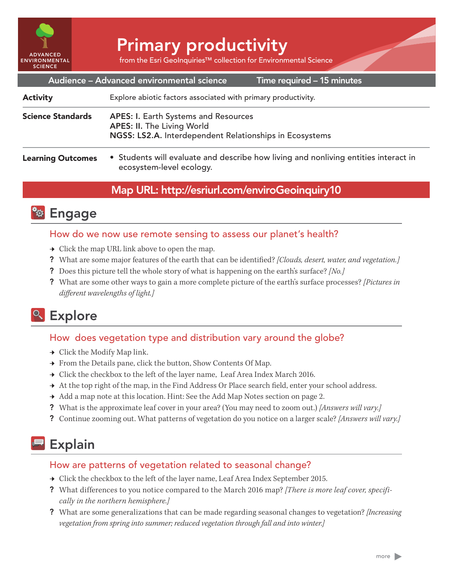

# Primary productivity

from the Esri GeoInquiries™ collection for Environmental Science

|                          | Audience - Advanced environmental science<br>Time required - 15 minutes                                                                     |
|--------------------------|---------------------------------------------------------------------------------------------------------------------------------------------|
| <b>Activity</b>          | Explore abiotic factors associated with primary productivity.                                                                               |
| <b>Science Standards</b> | <b>APES: I. Earth Systems and Resources</b><br><b>APES: II. The Living World</b><br>NGSS: LS2.A. Interdependent Relationships in Ecosystems |
| <b>Learning Outcomes</b> | • Students will evaluate and describe how living and nonliving entities interact in<br>ecosystem-level ecology.                             |

### Map URL: http://esriurl.com/enviroGeoinquiry10

## **<b>Ro** Engage

#### How do we now use remote sensing to assess our planet's health?

- $\rightarrow$  Click the map URL link above to open the map.
- ? What are some major features of the earth that can be identified? *[Clouds, desert, water, and vegetation.]*
- ? Does this picture tell the whole story of what is happening on the earth's surface? *[No.]*
- ? What are some other ways to gain a more complete picture of the earth's surface processes? *[Pictures in different wavelengths of light.]*

## Explore

#### How does vegetation type and distribution vary around the globe?

- $\rightarrow$  Click the Modify Map link.
- → From the Details pane, click the button, Show Contents Of Map.
- → Click the checkbox to the left of the layer name, Leaf Area Index March 2016.
- → At the top right of the map, in the Find Address Or Place search field, enter your school address.
- → Add a map note at this location. Hint: See the Add Map Notes section on page 2.
- ? What is the approximate leaf cover in your area? (You may need to zoom out.) *[Answers will vary.]*
- ? Continue zooming out. What patterns of vegetation do you notice on a larger scale? *[Answers will vary.]*

## Explain

#### How are patterns of vegetation related to seasonal change?

- → Click the checkbox to the left of the layer name, Leaf Area Index September 2015.
- ? What differences to you notice compared to the March 2016 map? *[There is more leaf cover, specifically in the northern hemisphere.]*
- ? What are some generalizations that can be made regarding seasonal changes to vegetation? *[Increasing vegetation from spring into summer; reduced vegetation through fall and into winter.]*